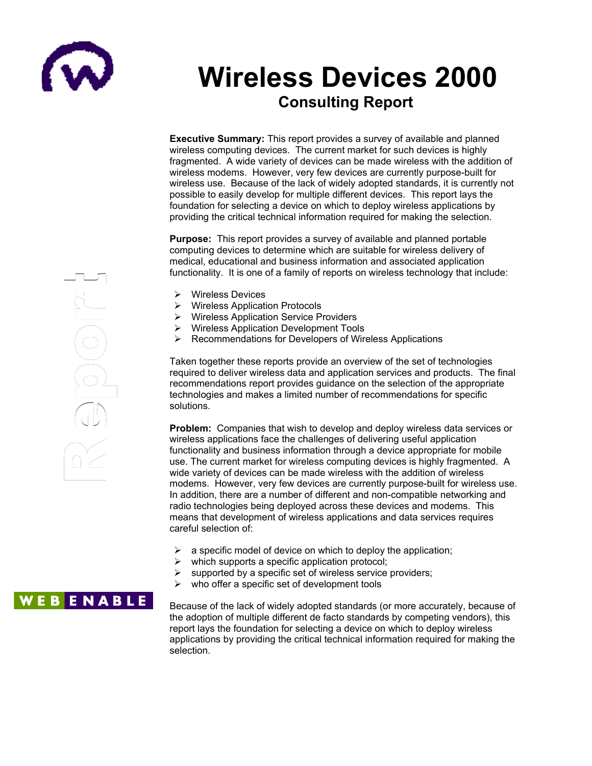

# **Wireless Devices 2000 Consulting Report**

**Executive Summary:** This report provides a survey of available and planned wireless computing devices. The current market for such devices is highly<br>fragmented. A wide variety of devices can be made wireless with the additional fragmented. A wide variety of devices can be made wireless with the addition of nagmented. A wide variety or devices can be made wireless with the additional purpose-built for<br>wireless modems. However, very few devices are currently purpose-built for menced measure. There is, they can across are carreling parped standards with the wireless use. Because of the lack of widely adopted standards, it is currently not possible to easily develop for multiple different devices. This report lays the<br>foundation for sologing a dovice on which to donlow wireless applications by foundation for selecting a device on which to deploy wireless applications by providing the critical technical information required for making the selection. **ecutive {**<br>eless cor<br>gmented.<br>eless use

**Purpose:** This report provides a survey of available and planned portable computing devices to determine which are suitable for wireless delivery of medical, educational and business information and associated application functionality. It is one of a family of reports on wireless technology that include: possible to e<br>foundation for<br>providing the<br>**Purpose:** T<br>**Purpose:** T<br>computing d<br>medical, edu<br>functionality.<br> $\triangleright$  Wireles

- **▶** Wireless Devices
- Wireless Application Protocols
- Wireless Application Service Providers
- $\triangleright$  Wireless Application Development Tools
- $\triangleright$  Recommendations for Developers of Wireless Applications

Taken together these reports provide an overview of the set of technologies required to deliver wireless data and application services and products. The final recommendations report provides guidance on the selection of the appropriate technologies and makes a limited number of recommendations for specific solutions.

**Problem:** Companies that wish to develop and deploy wireless data services or wireless applications face the challenges of delivering useful application functionality and business information through a device appropriate for mobile use. The current market for wireless computing devices is highly fragmented. A wide variety of devices can be made wireless with the addition of wireless modems. However, very few devices are currently purpose-built for wireless use. In addition, there are a number of different and non-compatible networking and radio technologies being deployed across these devices and modems. This means that development of wireless applications and data services requires careful selection of:

- a specific model of device on which to deploy the application;
- which supports a specific application protocol;
- $\triangleright$  supported by a specific set of wireless service providers;
- $\triangleright$  who offer a specific set of development tools

## **WEBENABLE**

Because of the lack of widely adopted standards (or more accurately, because of the adoption of multiple different de facto standards by competing vendors), this report lays the foundation for selecting a device on which to deploy wireless applications by providing the critical technical information required for making the selection.

**RA** e $\Omega$ or $\begin{pmatrix} -1 & 0 \\ 1 & 0 \end{pmatrix}$ Red (1) or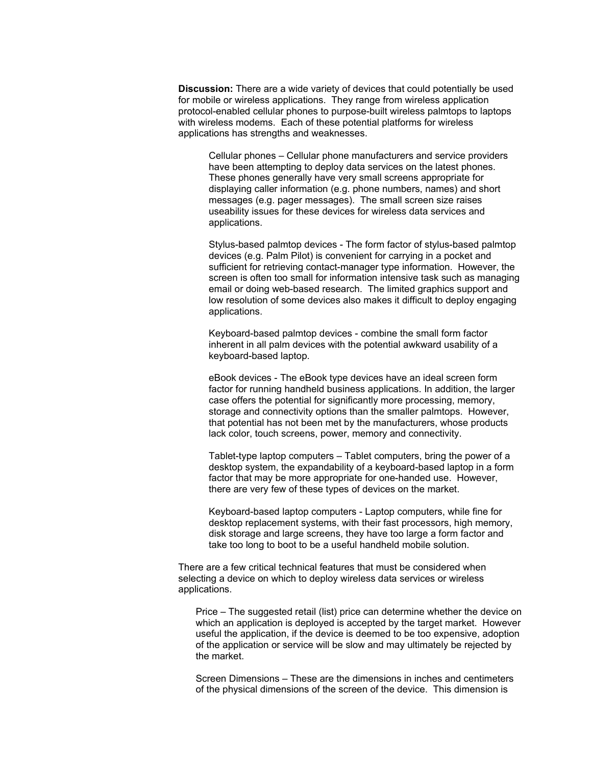**Discussion:** There are a wide variety of devices that could potentially be used for mobile or wireless applications. They range from wireless application protocol-enabled cellular phones to purpose-built wireless palmtops to laptops with wireless modems. Each of these potential platforms for wireless applications has strengths and weaknesses.

Cellular phones – Cellular phone manufacturers and service providers have been attempting to deploy data services on the latest phones. These phones generally have very small screens appropriate for displaying caller information (e.g. phone numbers, names) and short messages (e.g. pager messages). The small screen size raises useability issues for these devices for wireless data services and applications.

Stylus-based palmtop devices - The form factor of stylus-based palmtop devices (e.g. Palm Pilot) is convenient for carrying in a pocket and sufficient for retrieving contact-manager type information. However, the screen is often too small for information intensive task such as managing email or doing web-based research. The limited graphics support and low resolution of some devices also makes it difficult to deploy engaging applications.

Keyboard-based palmtop devices - combine the small form factor inherent in all palm devices with the potential awkward usability of a keyboard-based laptop.

eBook devices - The eBook type devices have an ideal screen form factor for running handheld business applications. In addition, the larger case offers the potential for significantly more processing, memory, storage and connectivity options than the smaller palmtops. However, that potential has not been met by the manufacturers, whose products lack color, touch screens, power, memory and connectivity.

Tablet-type laptop computers – Tablet computers, bring the power of a desktop system, the expandability of a keyboard-based laptop in a form factor that may be more appropriate for one-handed use. However, there are very few of these types of devices on the market.

Keyboard-based laptop computers - Laptop computers, while fine for desktop replacement systems, with their fast processors, high memory, disk storage and large screens, they have too large a form factor and take too long to boot to be a useful handheld mobile solution.

There are a few critical technical features that must be considered when selecting a device on which to deploy wireless data services or wireless applications.

Price – The suggested retail (list) price can determine whether the device on which an application is deployed is accepted by the target market. However useful the application, if the device is deemed to be too expensive, adoption of the application or service will be slow and may ultimately be rejected by the market.

Screen Dimensions – These are the dimensions in inches and centimeters of the physical dimensions of the screen of the device. This dimension is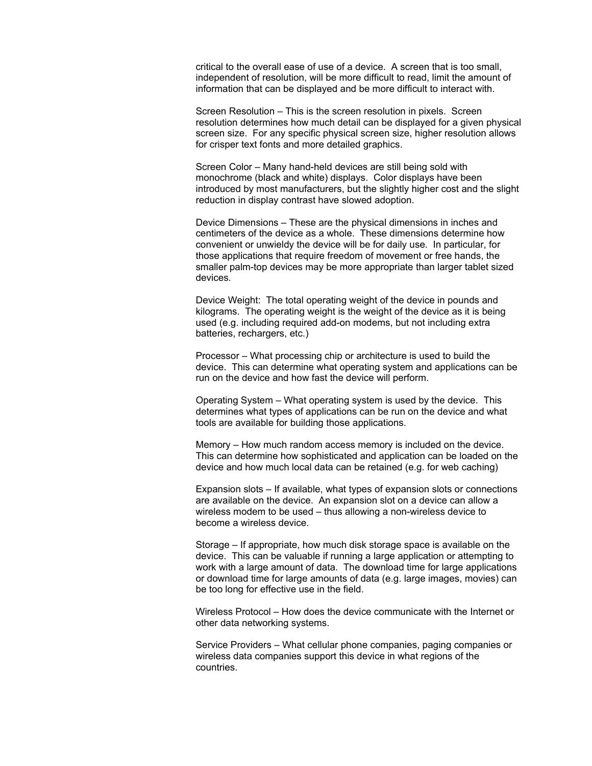critical to the overall ease of use of a device. A screen that is too small, independent of resolution, will be more difficult to read, limit the amount of information that can be displayed and be more difficult to interact with.

Screen Resolution – This is the screen resolution in pixels. Screen resolution determines how much detail can be displayed for a given physical screen size. For any specific physical screen size, higher resolution allows for crisper text fonts and more detailed graphics.

Screen Color – Many hand-held devices are still being sold with monochrome (black and white) displays. Color displays have been introduced by most manufacturers, but the slightly higher cost and the slight reduction in display contrast have slowed adoption.

Device Dimensions – These are the physical dimensions in inches and centimeters of the device as a whole. These dimensions determine how convenient or unwieldy the device will be for daily use. In particular, for those applications that require freedom of movement or free hands, the smaller palm-top devices may be more appropriate than larger tablet sized devices.

Device Weight: The total operating weight of the device in pounds and kilograms. The operating weight is the weight of the device as it is being used (e.g. including required add-on modems, but not including extra batteries, rechargers, etc.)

Processor – What processing chip or architecture is used to build the device. This can determine what operating system and applications can be run on the device and how fast the device will perform.

Operating System – What operating system is used by the device. This determines what types of applications can be run on the device and what tools are available for building those applications.

Memory – How much random access memory is included on the device. This can determine how sophisticated and application can be loaded on the device and how much local data can be retained (e.g. for web caching)

Expansion slots – If available, what types of expansion slots or connections are available on the device. An expansion slot on a device can allow a wireless modem to be used – thus allowing a non-wireless device to become a wireless device.

Storage – If appropriate, how much disk storage space is available on the device. This can be valuable if running a large application or attempting to work with a large amount of data. The download time for large applications or download time for large amounts of data (e.g. large images, movies) can be too long for effective use in the field.

Wireless Protocol – How does the device communicate with the Internet or other data networking systems.

Service Providers – What cellular phone companies, paging companies or wireless data companies support this device in what regions of the countries.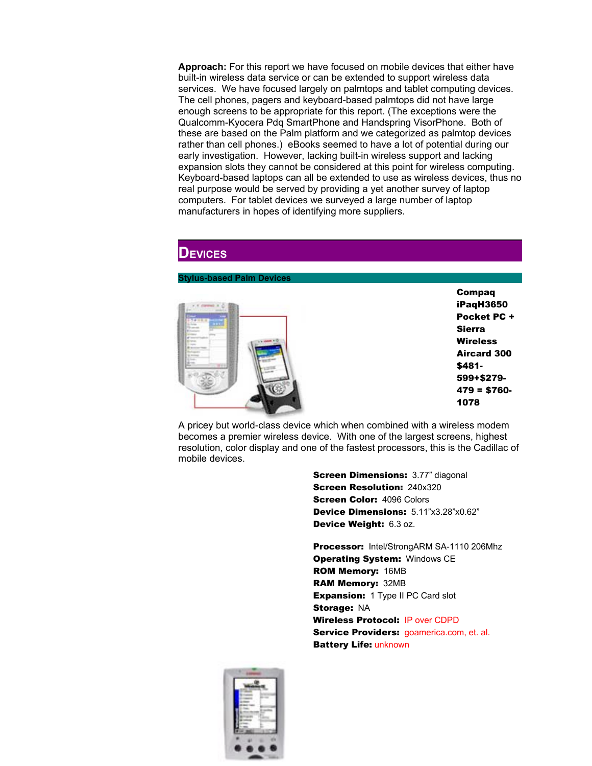**Approach:** For this report we have focused on mobile devices that either have built-in wireless data service or can be extended to support wireless data services. We have focused largely on palmtops and tablet computing devices. The cell phones, pagers and keyboard-based palmtops did not have large enough screens to be appropriate for this report. (The exceptions were the Qualcomm-Kyocera Pdq SmartPhone and Handspring VisorPhone. Both of these are based on the Palm platform and we categorized as palmtop devices rather than cell phones.) eBooks seemed to have a lot of potential during our early investigation. However, lacking built-in wireless support and lacking expansion slots they cannot be considered at this point for wireless computing. Keyboard-based laptops can all be extended to use as wireless devices, thus no real purpose would be served by providing a yet another survey of laptop computers. For tablet devices we surveyed a large number of laptop manufacturers in hopes of identifying more suppliers.

### **DEVICES**

### **Stylus-based Palm Devices**



A pricey but world-class device which when combined with a wireless modem becomes a premier wireless device. With one of the largest screens, highest resolution, color display and one of the fastest processors, this is the Cadillac of mobile devices.

> **Screen Dimensions: 3.77" diagonal** Screen Resolution: 240x320 **Screen Color: 4096 Colors** Device Dimensions: 5.11"x3.28"x0.62" Device Weight: 6.3 oz.

Processor: Intel/StrongARM SA-1110 206Mhz **Operating System: Windows CE** ROM Memory: 16MB RAM Memory: 32MB **Expansion:** 1 Type II PC Card slot Storage: NA Wireless Protocol: IP over CDPD Service Providers: goamerica.com, et. al. Battery Life: unknown

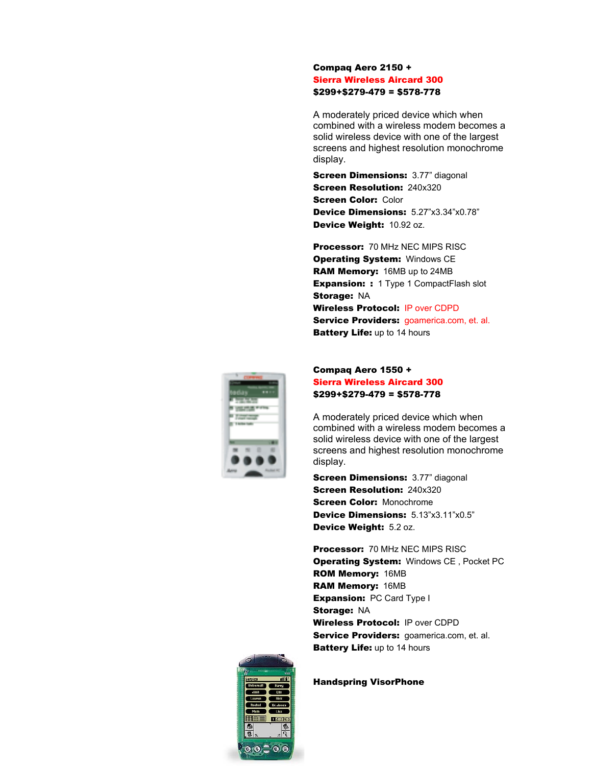### Compaq Aero 2150 + Sierra Wireless Aircard 300 \$299+\$279-479 = \$578-778

A moderately priced device which when combined with a wireless modem becomes a solid wireless device with one of the largest screens and highest resolution monochrome display.

**Screen Dimensions: 3.77" diagonal Screen Resolution: 240x320 Screen Color: Color** Device Dimensions: 5.27"x3.34"x0.78" Device Weight: 10.92 oz.

Processor: 70 MHz NEC MIPS RISC **Operating System: Windows CE** RAM Memory: 16MB up to 24MB **Expansion: :** 1 Type 1 Compact Flash slot Storage: NA Wireless Protocol: IP over CDPD Service Providers: goamerica.com, et. al. **Battery Life: up to 14 hours** 



### Compaq Aero 1550 + Sierra Wireless Aircard 300 \$299+\$279-479 = \$578-778

A moderately priced device which when combined with a wireless modem becomes a solid wireless device with one of the largest screens and highest resolution monochrome display.

**Screen Dimensions: 3.77" diagonal Screen Resolution: 240x320 Screen Color: Monochrome** Device Dimensions: 5.13"x3.11"x0.5" Device Weight: 5.2 oz.

Processor: 70 MHz NEC MIPS RISC **Operating System: Windows CE, Pocket PC** ROM Memory: 16MB RAM Memory: 16MB **Expansion: PC Card Type I** Storage: NA Wireless Protocol: IP over CDPD Service Providers: goamerica.com, et. al. **Battery Life: up to 14 hours** 



Handspring VisorPhone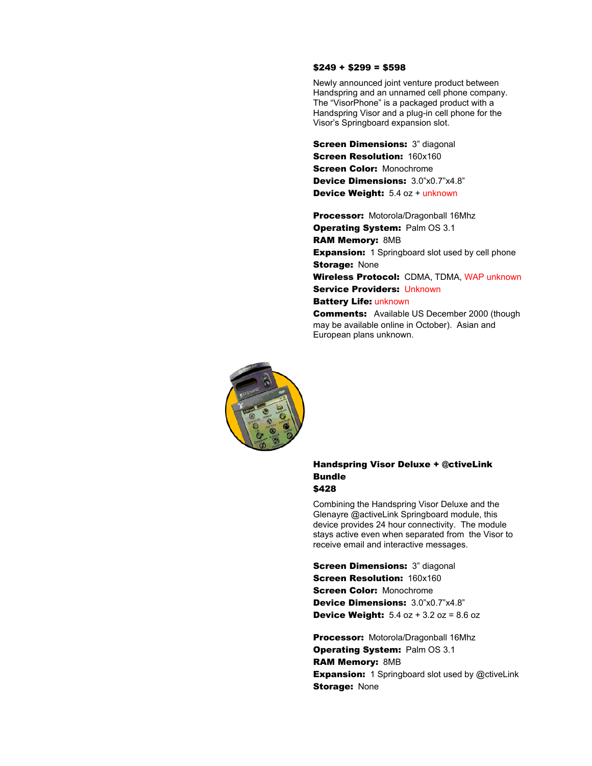### $$249 + $299 = $598$

Newly announced joint venture product between Handspring and an unnamed cell phone company. The "VisorPhone" is a packaged product with a Handspring Visor and a plug-in cell phone for the Visor's Springboard expansion slot.

**Screen Dimensions: 3" diagonal Screen Resolution: 160x160 Screen Color: Monochrome** Device Dimensions: 3.0"x0.7"x4.8" Device Weight: 5.4 oz + unknown

Processor: Motorola/Dragonball 16Mhz **Operating System: Palm OS 3.1** RAM Memory: 8MB **Expansion:** 1 Springboard slot used by cell phone **Storage: None** Wireless Protocol: CDMA, TDMA, WAP unknown Service Providers: Unknown Battery Life: unknown

**Comments:** Available US December 2000 (though may be available online in October). Asian and European plans unknown.



### Handspring Visor Deluxe + @ctiveLink Bundle \$428

Combining the Handspring Visor Deluxe and the Glenayre @activeLink Springboard module, this device provides 24 hour connectivity. The module stays active even when separated from the Visor to receive email and interactive messages.

**Screen Dimensions: 3" diagonal** Screen Resolution: 160x160 **Screen Color: Monochrome** Device Dimensions: 3.0"x0.7"x4.8" **Device Weight:**  $5.4$   $oz + 3.2$   $oz = 8.6$  oz

Processor: Motorola/Dragonball 16Mhz **Operating System: Palm OS 3.1** RAM Memory: 8MB **Expansion:** 1 Springboard slot used by @ctiveLink **Storage: None**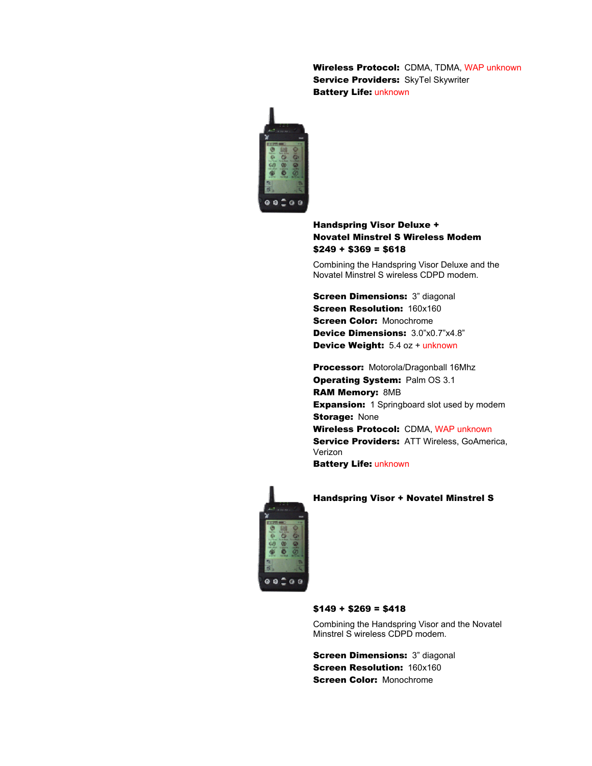Wireless Protocol: CDMA, TDMA, WAP unknown Service Providers: SkyTel Skywriter Battery Life: unknown



### Handspring Visor Deluxe + Novatel Minstrel S Wireless Modem  $$249 + $369 = $618$

Combining the Handspring Visor Deluxe and the Novatel Minstrel S wireless CDPD modem.

**Screen Dimensions: 3" diagonal Screen Resolution: 160x160 Screen Color: Monochrome** Device Dimensions: 3.0"x0.7"x4.8" Device Weight: 5.4 oz + unknown

Processor: Motorola/Dragonball 16Mhz **Operating System: Palm OS 3.1** RAM Memory: 8MB **Expansion:** 1 Springboard slot used by modem **Storage: None** Wireless Protocol: CDMA, WAP unknown Service Providers: ATT Wireless, GoAmerica, Verizon



# $00200$

### Handspring Visor + Novatel Minstrel S

### $$149 + $269 = $418$

Combining the Handspring Visor and the Novatel Minstrel S wireless CDPD modem.

**Screen Dimensions: 3" diagonal Screen Resolution: 160x160 Screen Color: Monochrome**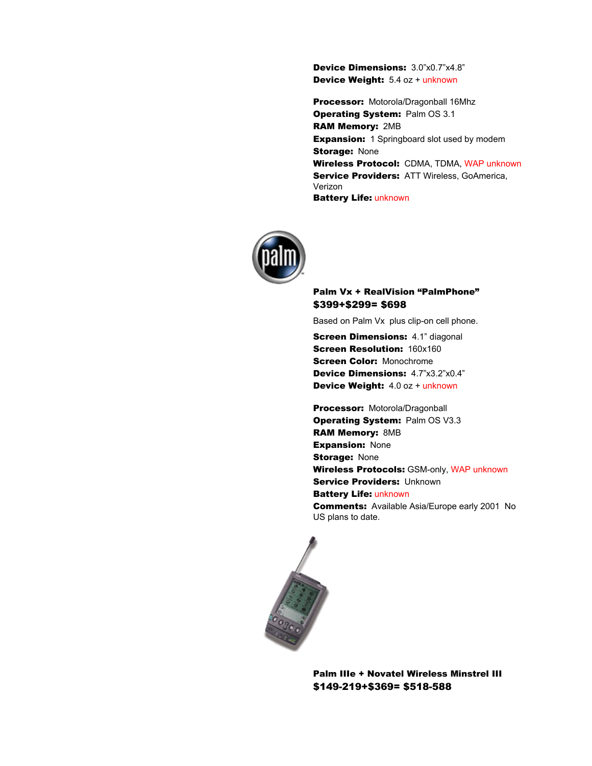Device Dimensions: 3.0"x0.7"x4.8" Device Weight: 5.4 oz + unknown

Processor: Motorola/Dragonball 16Mhz **Operating System: Palm OS 3.1** RAM Memory: 2MB **Expansion:** 1 Springboard slot used by modem **Storage: None** Wireless Protocol: CDMA, TDMA, WAP unknown Service Providers: ATT Wireless, GoAmerica, Verizon **Battery Life: unknown** 



### Palm Vx + RealVision "PalmPhone" \$399+\$299= \$698

Based on Palm Vx plus clip-on cell phone.

**Screen Dimensions: 4.1" diagonal** Screen Resolution: 160x160 Screen Color: Monochrome Device Dimensions: 4.7"x3.2"x0.4" Device Weight: 4.0 oz + unknown

Processor: Motorola/Dragonball Operating System: Palm OS V3.3 RAM Memory: 8MB **Expansion: None Storage: None** Wireless Protocols: GSM-only, WAP unknown **Service Providers: Unknown Battery Life: unknown Comments:** Available Asia/Europe early 2001 No US plans to date.



Palm IIIe + Novatel Wireless Minstrel III \$149-219+\$369= \$518-588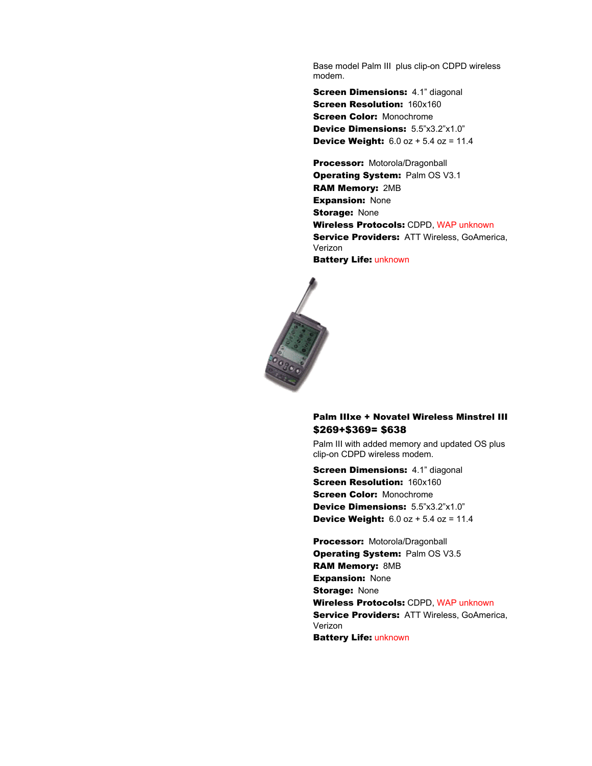Base model Palm III plus clip-on CDPD wireless modem.

**Screen Dimensions: 4.1" diagonal Screen Resolution: 160x160 Screen Color: Monochrome** Device Dimensions: 5.5"x3.2"x1.0" **Device Weight:**  $6.0$  oz  $+ 5.4$  oz = 11.4

Processor: Motorola/Dragonball **Operating System: Palm OS V3.1** RAM Memory: 2MB **Expansion: None Storage: None** Wireless Protocols: CDPD, WAP unknown **Service Providers: ATT Wireless, GoAmerica,** Verizon Battery Life: unknown



### Palm IIIxe + Novatel Wireless Minstrel III \$269+\$369= \$638

Palm III with added memory and updated OS plus clip-on CDPD wireless modem.

**Screen Dimensions: 4.1" diagonal Screen Resolution: 160x160 Screen Color: Monochrome** Device Dimensions: 5.5"x3.2"x1.0" **Device Weight:**  $6.0$  oz  $+ 5.4$  oz = 11.4

Processor: Motorola/Dragonball Operating System: Palm OS V3.5 RAM Memory: 8MB **Expansion: None Storage: None** Wireless Protocols: CDPD, WAP unknown **Service Providers: ATT Wireless, GoAmerica,** Verizon **Battery Life: unknown**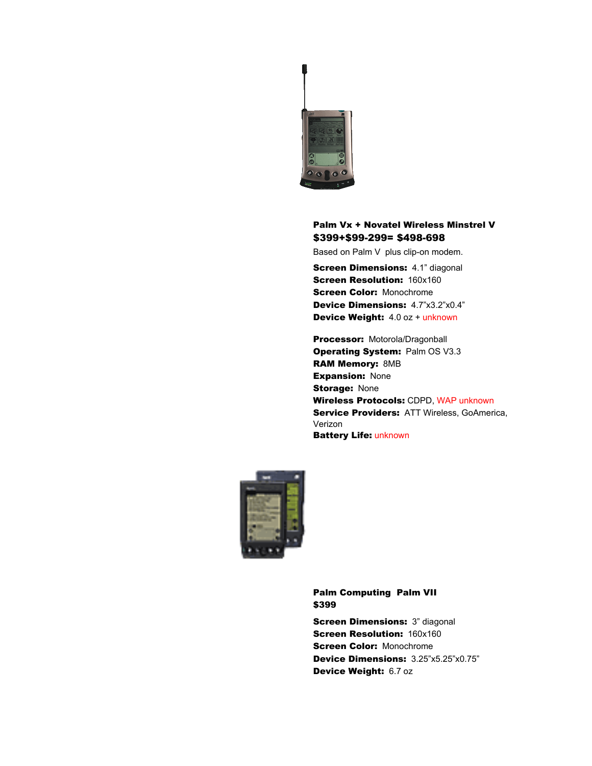

### Palm Vx + Novatel Wireless Minstrel V \$399+\$99-299= \$498-698

Based on Palm V plus clip-on modem.

**Screen Dimensions: 4.1" diagonal Screen Resolution: 160x160 Screen Color: Monochrome** Device Dimensions: 4.7"x3.2"x0.4" Device Weight: 4.0 oz + unknown

Processor: Motorola/Dragonball Operating System: Palm OS V3.3 RAM Memory: 8MB **Expansion: None Storage: None** Wireless Protocols: CDPD, WAP unknown Service Providers: ATT Wireless, GoAmerica, Verizon Battery Life: unknown



Palm Computing Palm VII \$399

**Screen Dimensions: 3" diagonal Screen Resolution: 160x160 Screen Color: Monochrome** Device Dimensions: 3.25"x5.25"x0.75" Device Weight: 6.7 oz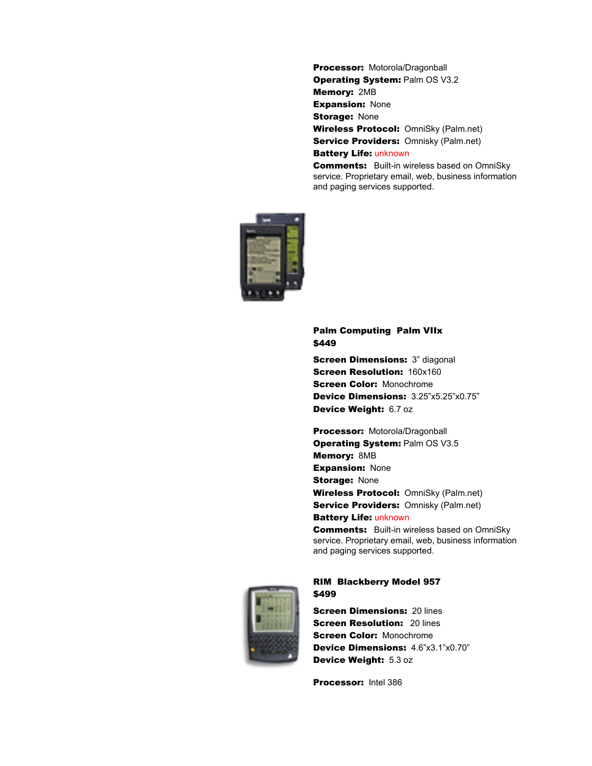Processor: Motorola/Dragonball **Operating System: Palm OS V3.2** Memory: 2MB **Expansion: None Storage: None** Wireless Protocol: OmniSky (Palm.net) **Service Providers: Omnisky (Palm.net)** Battery Life: unknown

**Comments:** Built-in wireless based on OmniSky service. Proprietary email, web, business information and paging services supported.



### Palm Computing Palm VIIx \$449

**Screen Dimensions: 3" diagonal Screen Resolution: 160x160 Screen Color: Monochrome** Device Dimensions: 3.25"x5.25"x0.75" Device Weight: 6.7 oz

Processor: Motorola/Dragonball **Operating System: Palm OS V3.5** Memory: 8MB **Expansion: None Storage: None** Wireless Protocol: OmniSky (Palm.net) Service Providers: Omnisky (Palm.net) **Battery Life: unknown** 

**Comments:** Built-in wireless based on OmniSky service. Proprietary email, web, business information and paging services supported.



### RIM Blackberry Model 957 \$499

**Screen Dimensions: 20 lines Screen Resolution: 20 lines Screen Color: Monochrome** Device Dimensions: 4.6"x3.1"x0.70" Device Weight: 5.3 oz

Processor: Intel 386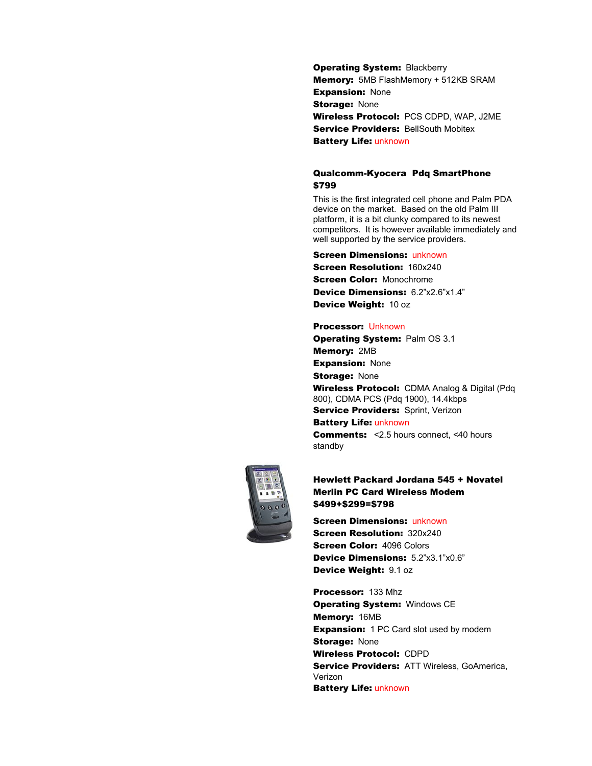**Operating System: Blackberry** Memory: 5MB FlashMemory + 512KB SRAM **Expansion: None Storage: None** Wireless Protocol: PCS CDPD, WAP, J2ME **Service Providers: BellSouth Mobitex** Battery Life: unknown

### Qualcomm-Kyocera Pdq SmartPhone \$799

This is the first integrated cell phone and Palm PDA device on the market. Based on the old Palm III platform, it is a bit clunky compared to its newest competitors. It is however available immediately and well supported by the service providers.

### **Screen Dimensions: unknown Screen Resolution: 160x240** Screen Color: Monochrome Device Dimensions: 6.2"x2.6"x1.4" Device Weight: 10 oz

### Processor: Unknown

**Operating System: Palm OS 3.1** Memory: 2MB **Expansion: None Storage: None** Wireless Protocol: CDMA Analog & Digital (Pdg) 800), CDMA PCS (Pdq 1900), 14.4kbps **Service Providers: Sprint, Verizon** Battery Life: unknown

Comments: <2.5 hours connect, <40 hours standby



### Hewlett Packard Jordana 545 + Novatel Merlin PC Card Wireless Modem \$499+\$299=\$798

**Screen Dimensions: unknown Screen Resolution: 320x240** Screen Color: 4096 Colors Device Dimensions: 5.2"x3.1"x0.6" Device Weight: 9.1 oz

Processor: 133 Mhz **Operating System: Windows CE** Memory: 16MB **Expansion:** 1 PC Card slot used by modem **Storage: None** Wireless Protocol: CDPD **Service Providers: ATT Wireless, GoAmerica,** Verizon Battery Life: unknown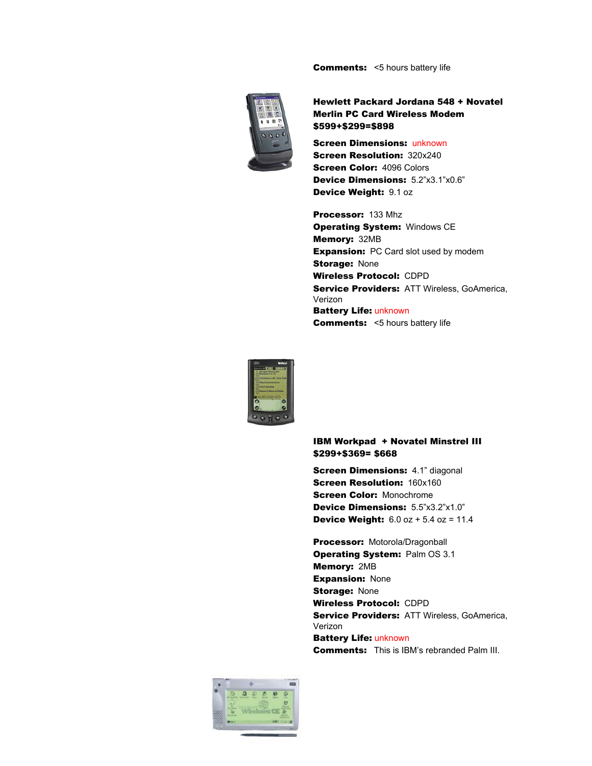**Comments:** <5 hours battery life



Hewlett Packard Jordana 548 + Novatel Merlin PC Card Wireless Modem \$599+\$299=\$898

**Screen Dimensions: unknown Screen Resolution: 320x240** Screen Color: 4096 Colors Device Dimensions: 5.2"x3.1"x0.6" Device Weight: 9.1 oz

Processor: 133 Mhz **Operating System: Windows CE** Memory: 32MB **Expansion:** PC Card slot used by modem **Storage: None** Wireless Protocol: CDPD Service Providers: ATT Wireless, GoAmerica, Verizon Battery Life: unknown **Comments:** <5 hours battery life



### IBM Workpad + Novatel Minstrel III \$299+\$369= \$668

**Screen Dimensions: 4.1" diagonal Screen Resolution: 160x160 Screen Color: Monochrome** Device Dimensions: 5.5"x3.2"x1.0" **Device Weight:**  $6.0$  oz  $+ 5.4$  oz  $= 11.4$ 

Processor: Motorola/Dragonball **Operating System: Palm OS 3.1** Memory: 2MB **Expansion: None Storage: None** Wireless Protocol: CDPD Service Providers: ATT Wireless, GoAmerica, Verizon Battery Life: unknown

Comments: This is IBM's rebranded Palm III.

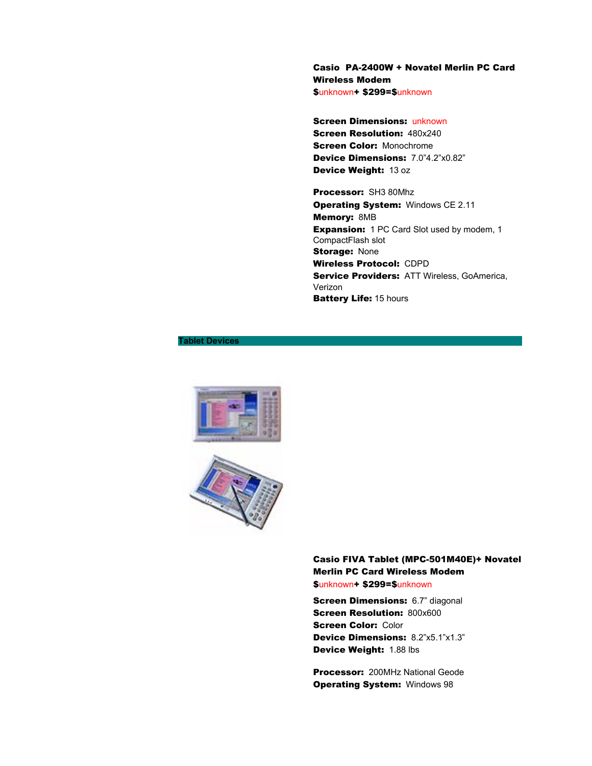Casio PA-2400W + Novatel Merlin PC Card Wireless Modem \$unknown+ \$299=\$unknown

**Screen Dimensions: unknown Screen Resolution: 480x240 Screen Color: Monochrome** Device Dimensions: 7.0"4.2"x0.82" Device Weight: 13 oz

Processor: SH3 80Mhz **Operating System: Windows CE 2.11** Memory: 8MB **Expansion:** 1 PC Card Slot used by modem, 1 CompactFlash slot **Storage: None** Wireless Protocol: CDPD Service Providers: ATT Wireless, GoAmerica, Verizon **Battery Life: 15 hours** 

### **Tablet Devices**





Casio FIVA Tablet (MPC-501M40E)+ Novatel Merlin PC Card Wireless Modem \$unknown+ \$299=\$unknown

**Screen Dimensions: 6.7" diagonal Screen Resolution: 800x600 Screen Color: Color** Device Dimensions: 8.2"x5.1"x1.3" Device Weight: 1.88 lbs

Processor: 200MHz National Geode **Operating System: Windows 98**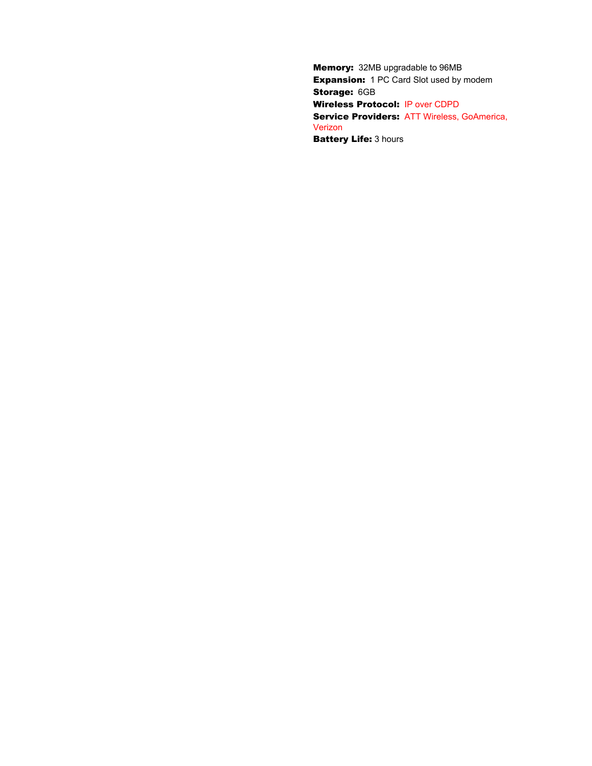Memory: 32MB upgradable to 96MB **Expansion:** 1 PC Card Slot used by modem Storage: 6GB Wireless Protocol: IP over CDPD Service Providers: ATT Wireless, GoAmerica, Verizon **Battery Life: 3 hours**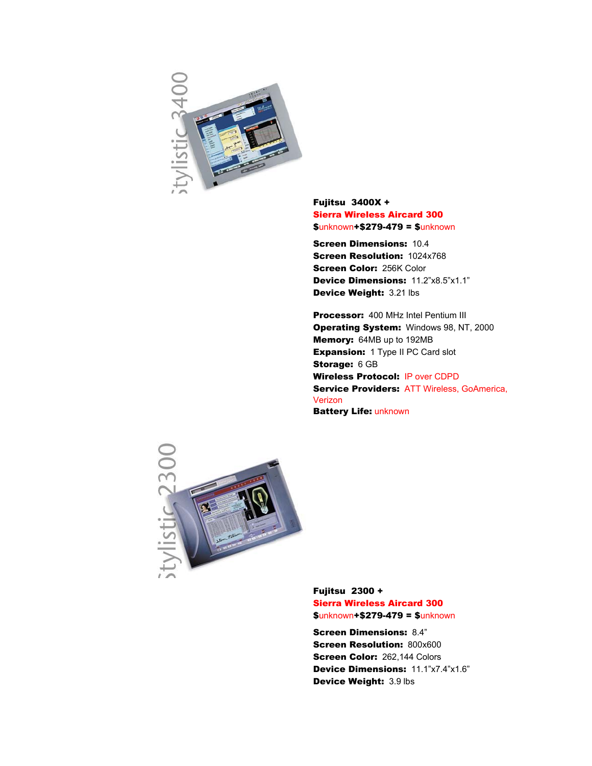

Fujitsu 3400X + Sierra Wireless Aircard 300 \$unknown+\$279-479 = \$unknown

Screen Dimensions: 10.4 Screen Resolution: 1024x768 Screen Color: 256K Color Device Dimensions: 11.2"x8.5"x1.1" Device Weight: 3.21 lbs

Processor: 400 MHz Intel Pentium III **Operating System: Windows 98, NT, 2000** Memory: 64MB up to 192MB **Expansion:** 1 Type II PC Card slot Storage: 6 GB Wireless Protocol: IP over CDPD Service Providers: ATT Wireless, GoAmerica, Verizon Battery Life: unknown



Fujitsu 2300 + Sierra Wireless Aircard 300 \$unknown+\$279-479 = \$unknown

Screen Dimensions: 8.4" **Screen Resolution: 800x600** Screen Color: 262,144 Colors Device Dimensions: 11.1"x7.4"x1.6" Device Weight: 3.9 lbs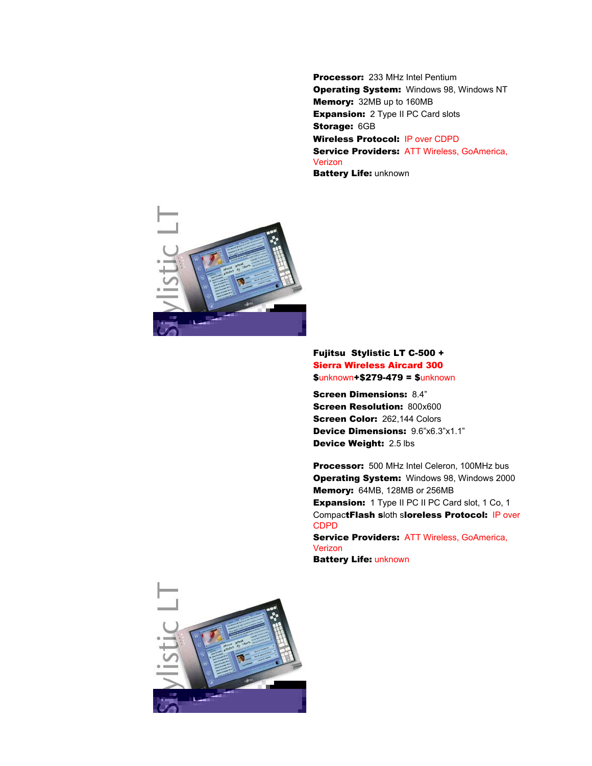Processor: 233 MHz Intel Pentium **Operating System: Windows 98, Windows NT** Memory: 32MB up to 160MB **Expansion:** 2 Type II PC Card slots Storage: 6GB Wireless Protocol: IP over CDPD Service Providers: ATT Wireless, GoAmerica, Verizon **Battery Life: unknown** 



### Fujitsu Stylistic LT C-500 + Sierra Wireless Aircard 300 \$unknown+\$279-479 = \$unknown

Screen Dimensions: 8.4" **Screen Resolution: 800x600 Screen Color: 262.144 Colors** Device Dimensions: 9.6"x6.3"x1.1" Device Weight: 2.5 lbs

Processor: 500 MHz Intel Celeron, 100MHz bus **Operating System:** Windows 98, Windows 2000 Memory: 64MB, 128MB or 256MB **Expansion:** 1 Type II PC II PC Card slot, 1 Co, 1 CompactFlash sloth sloreless Protocol: IP over CDPD

Service Providers: ATT Wireless, GoAmerica, Verizon Battery Life: unknown

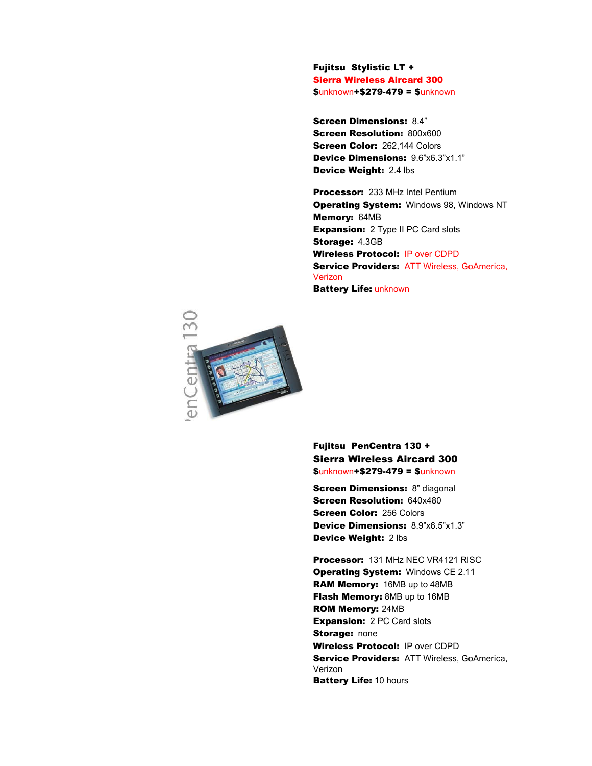Fujitsu Stylistic LT + Sierra Wireless Aircard 300 \$unknown+\$279-479 = \$unknown

Screen Dimensions: 8.4" **Screen Resolution: 800x600 Screen Color: 262,144 Colors** Device Dimensions: 9.6"x6.3"x1.1" Device Weight: 2.4 lbs

Processor: 233 MHz Intel Pentium **Operating System: Windows 98, Windows NT** Memory: 64MB **Expansion:** 2 Type II PC Card slots Storage: 4.3GB Wireless Protocol: IP over CDPD **Service Providers: ATT Wireless, GoAmerica,** Verizon Battery Life: unknown



### Fujitsu PenCentra 130 + Sierra Wireless Aircard 300 \$unknown+\$279-479 = \$unknown

**Screen Dimensions: 8" diagonal** Screen Resolution: 640x480 **Screen Color: 256 Colors** Device Dimensions: 8.9"x6.5"x1.3" Device Weight: 2 lbs

Processor: 131 MHz NEC VR4121 RISC Operating System: Windows CE 2.11 RAM Memory: 16MB up to 48MB **Flash Memory: 8MB up to 16MB** ROM Memory: 24MB **Expansion: 2 PC Card slots Storage: none** Wireless Protocol: IP over CDPD Service Providers: ATT Wireless, GoAmerica, Verizon **Battery Life: 10 hours**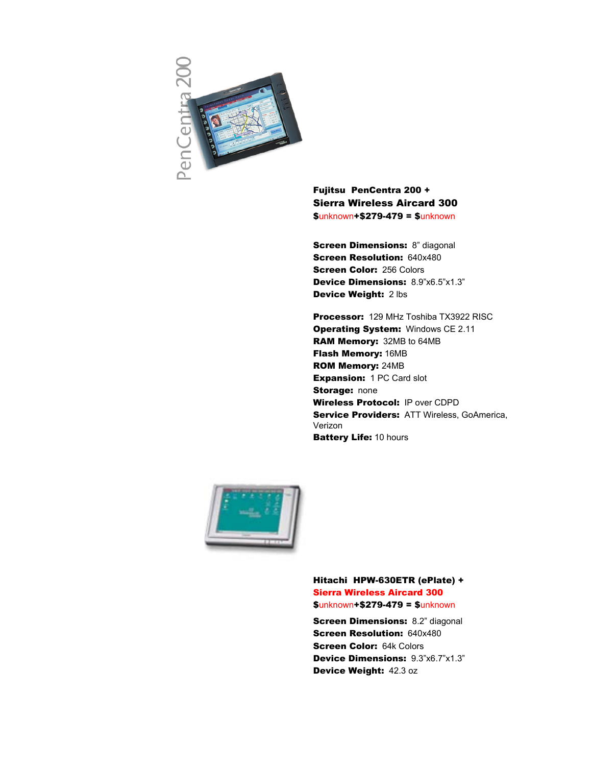

Fujitsu PenCentra 200 + Sierra Wireless Aircard 300 \$unknown+\$279-479 = \$unknown

**Screen Dimensions: 8" diagonal Screen Resolution: 640x480 Screen Color: 256 Colors** Device Dimensions: 8.9"x6.5"x1.3" Device Weight: 2 lbs

Processor: 129 MHz Toshiba TX3922 RISC **Operating System: Windows CE 2.11** RAM Memory: 32MB to 64MB Flash Memory: 16MB ROM Memory: 24MB **Expansion: 1 PC Card slot Storage: none** Wireless Protocol: IP over CDPD **Service Providers: ATT Wireless, GoAmerica,** Verizon **Battery Life: 10 hours** 



Hitachi HPW-630ETR (ePlate) + Sierra Wireless Aircard 300 \$unknown+\$279-479 = \$unknown

**Screen Dimensions: 8.2" diagonal** Screen Resolution: 640x480 **Screen Color: 64k Colors** Device Dimensions: 9.3"x6.7"x1.3" Device Weight: 42.3 oz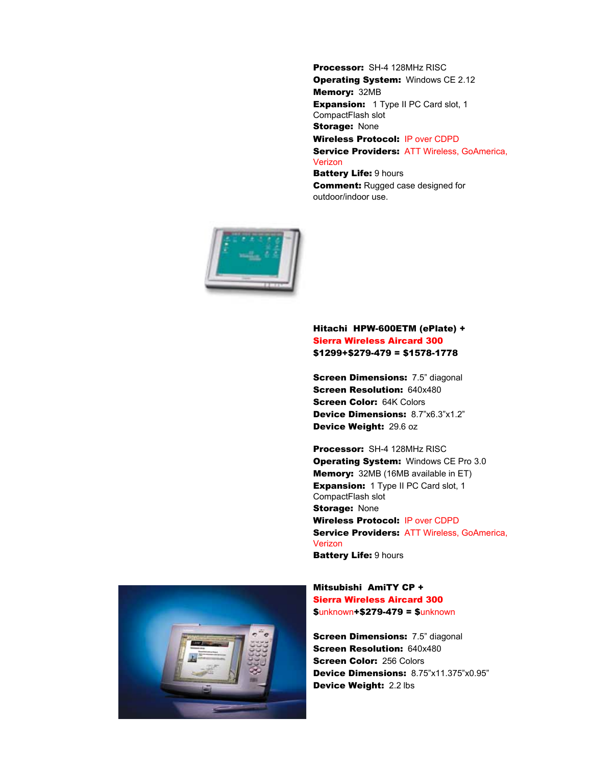Processor: SH-4 128MHz RISC **Operating System: Windows CE 2.12** Memory: 32MB **Expansion:** 1 Type II PC Card slot, 1 CompactFlash slot **Storage: None** Wireless Protocol: IP over CDPD Service Providers: ATT Wireless, GoAmerica, **Verizon Battery Life: 9 hours Comment: Rugged case designed for** 



### Hitachi HPW-600ETM (ePlate) + Sierra Wireless Aircard 300 \$1299+\$279-479 = \$1578-1778

outdoor/indoor use.

**Screen Dimensions: 7.5" diagonal** Screen Resolution: 640x480 **Screen Color: 64K Colors** Device Dimensions: 8.7"x6.3"x1.2" Device Weight: 29.6 oz

Processor: SH-4 128MHz RISC **Operating System: Windows CE Pro 3.0** Memory: 32MB (16MB available in ET) **Expansion:** 1 Type II PC Card slot, 1 CompactFlash slot **Storage: None** Wireless Protocol: IP over CDPD **Service Providers: ATT Wireless, GoAmerica,** Verizon Battery Life: 9 hours



Mitsubishi AmiTY CP + Sierra Wireless Aircard 300 \$unknown+\$279-479 = \$unknown

**Screen Dimensions: 7.5" diagonal** Screen Resolution: 640x480 **Screen Color: 256 Colors** Device Dimensions: 8.75"x11.375"x0.95" Device Weight: 2.2 lbs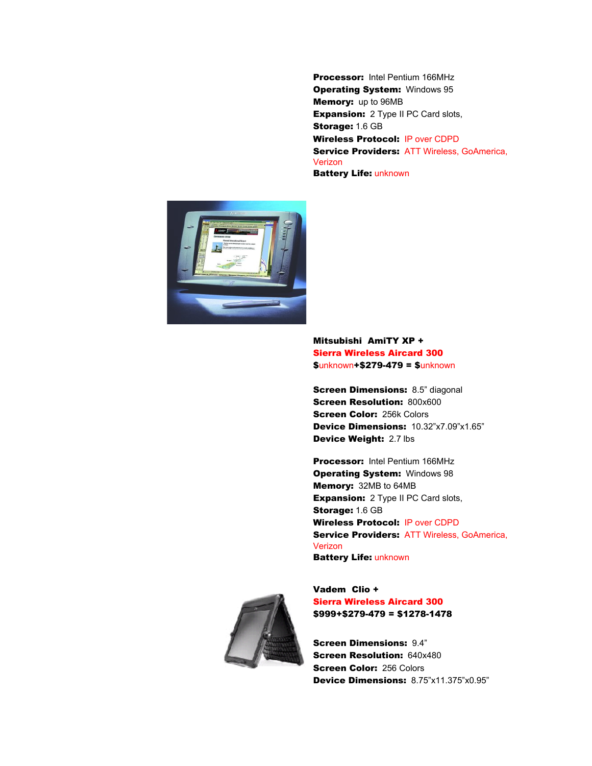Processor: Intel Pentium 166MHz **Operating System: Windows 95** Memory: up to 96MB **Expansion:** 2 Type II PC Card slots, Storage: 1.6 GB Wireless Protocol: IP over CDPD Service Providers: ATT Wireless, GoAmerica, Verizon Battery Life: unknown



### Mitsubishi AmiTY XP + Sierra Wireless Aircard 300 \$unknown+\$279-479 = \$unknown

**Screen Dimensions: 8.5" diagonal Screen Resolution: 800x600 Screen Color: 256k Colors** Device Dimensions: 10.32"x7.09"x1.65" Device Weight: 2.7 lbs

Processor: Intel Pentium 166MHz **Operating System: Windows 98** Memory: 32MB to 64MB **Expansion:** 2 Type II PC Card slots, Storage: 1.6 GB Wireless Protocol: IP over CDPD **Service Providers: ATT Wireless, GoAmerica,** Verizon Battery Life: unknown



Vadem Clio + Sierra Wireless Aircard 300 \$999+\$279-479 = \$1278-1478

Screen Dimensions: 9.4" **Screen Resolution: 640x480 Screen Color: 256 Colors** Device Dimensions: 8.75"x11.375"x0.95"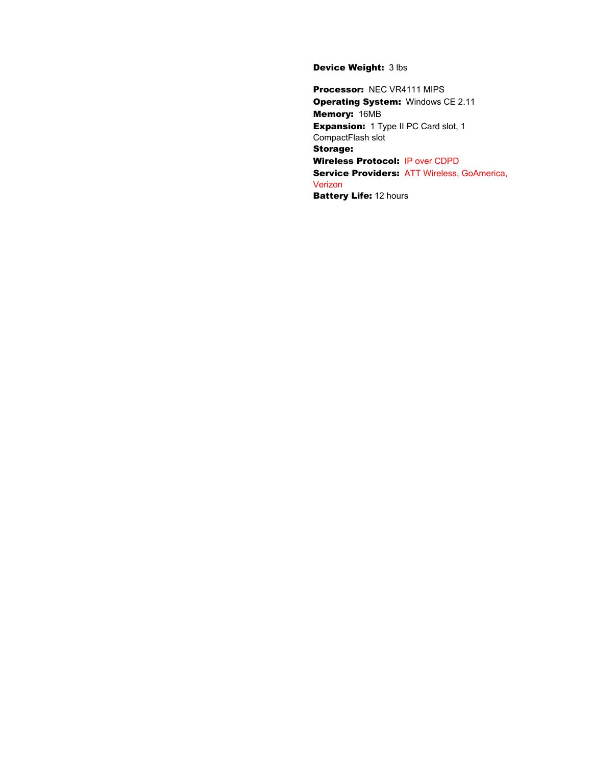### Device Weight: 3 lbs

Processor: NEC VR4111 MIPS Operating System: Windows CE 2.11 Memory: 16MB **Expansion:** 1 Type II PC Card slot, 1 CompactFlash slot Storage: Wireless Protocol: IP over CDPD Service Providers: ATT Wireless, GoAmerica, Verizon **Battery Life: 12 hours**